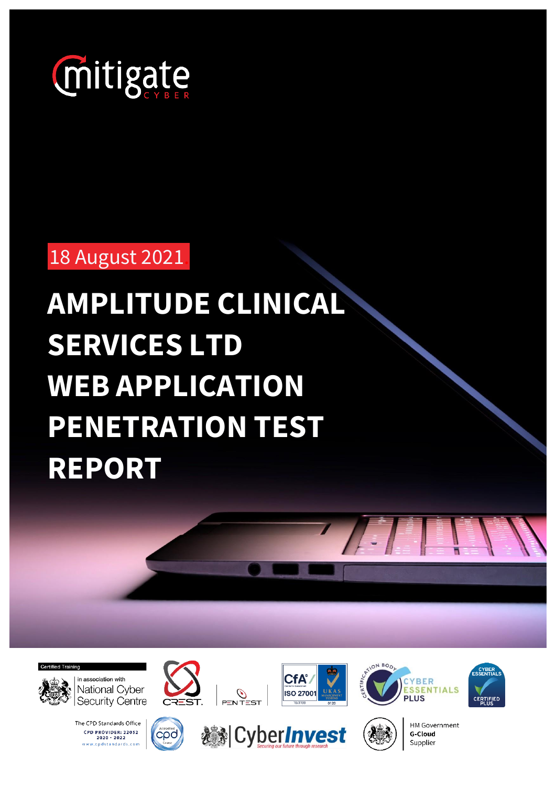

18 August 2021.

# **AMPLITUDE CLINICAL SERVICES LTD WEB APPLICATION PENETRATION TEST REPORT**





in association with National Cyber Security Centre

**000**

The CPD Standards Office CPD PROVIDER: 22052<br>2020 - 2022 www.cpdstandards.co









CATION BOD



HM Government **G-Cloud** Supplier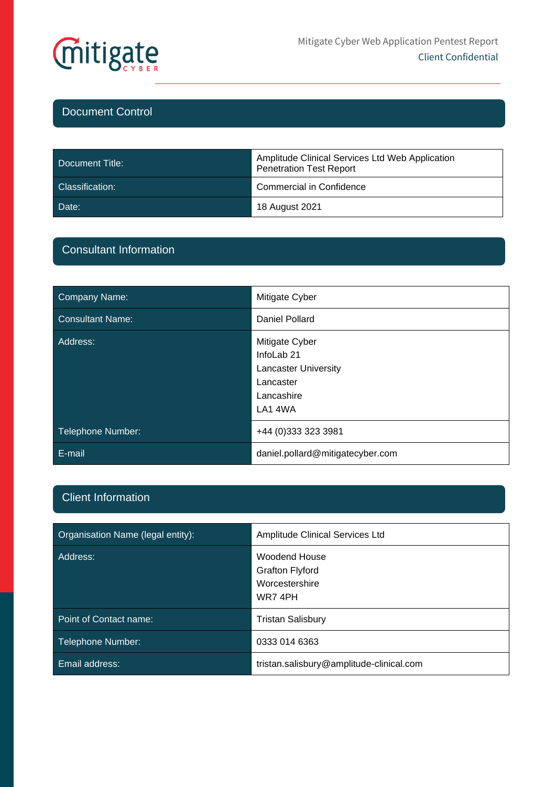

## Document Control

| Document Title: | Amplitude Clinical Services Ltd Web Application<br><b>Penetration Test Report</b> |
|-----------------|-----------------------------------------------------------------------------------|
| Classification: | Commercial in Confidence                                                          |
| Date:           | 18 August 2021                                                                    |

## Consultant Information

| Company Name:           | Mitigate Cyber                                                                                               |  |
|-------------------------|--------------------------------------------------------------------------------------------------------------|--|
| <b>Consultant Name:</b> | Daniel Pollard                                                                                               |  |
| Address:                | Mitigate Cyber<br>InfoLab <sub>21</sub><br><b>Lancaster University</b><br>Lancaster<br>Lancashire<br>LA1 4WA |  |
| Telephone Number:       | +44 (0) 333 323 3981                                                                                         |  |
| E-mail                  | daniel.pollard@mitigatecyber.com                                                                             |  |

## Client Information

| Organisation Name (legal entity): | <b>Amplitude Clinical Services Ltd</b>                                      |
|-----------------------------------|-----------------------------------------------------------------------------|
| Address:                          | <b>Woodend House</b><br><b>Grafton Flyford</b><br>Worcestershire<br>WR7 4PH |
| Point of Contact name:            | <b>Tristan Salisbury</b>                                                    |
| Telephone Number:                 | 0333 014 6363                                                               |
| Email address:                    | tristan.salisbury@amplitude-clinical.com                                    |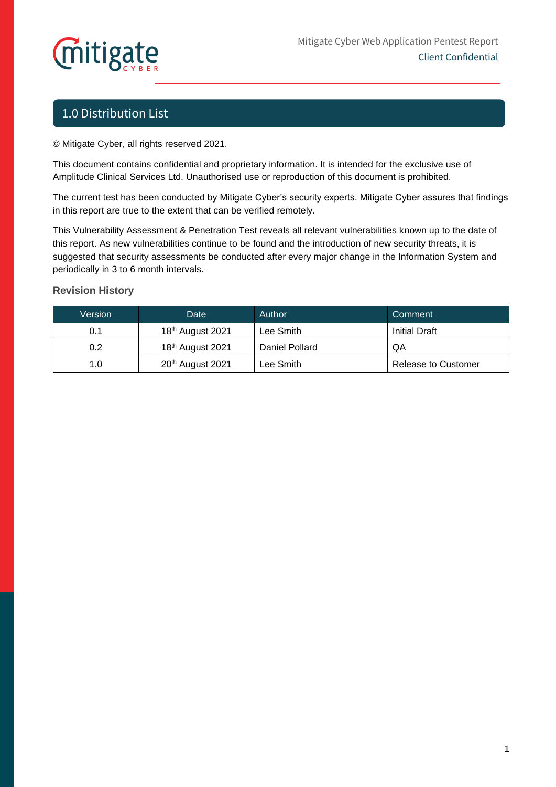# **Mitigate**

# 1.0 Distribution List

© Mitigate Cyber, all rights reserved 2021.

This document contains confidential and proprietary information. It is intended for the exclusive use of Amplitude Clinical Services Ltd. Unauthorised use or reproduction of this document is prohibited.

The current test has been conducted by Mitigate Cyber's security experts. Mitigate Cyber assures that findings in this report are true to the extent that can be verified remotely.

This Vulnerability Assessment & Penetration Test reveals all relevant vulnerabilities known up to the date of this report. As new vulnerabilities continue to be found and the introduction of new security threats, it is suggested that security assessments be conducted after every major change in the Information System and periodically in 3 to 6 month intervals.

### **Revision History**

| Version | Date                         | Author         | Comment              |  |
|---------|------------------------------|----------------|----------------------|--|
| 0.1     | 18 <sup>th</sup> August 2021 | Lee Smith      | <b>Initial Draft</b> |  |
| 0.2     | 18 <sup>th</sup> August 2021 | Daniel Pollard | QA                   |  |
| 1.0     | 20 <sup>th</sup> August 2021 | Lee Smith      | Release to Customer  |  |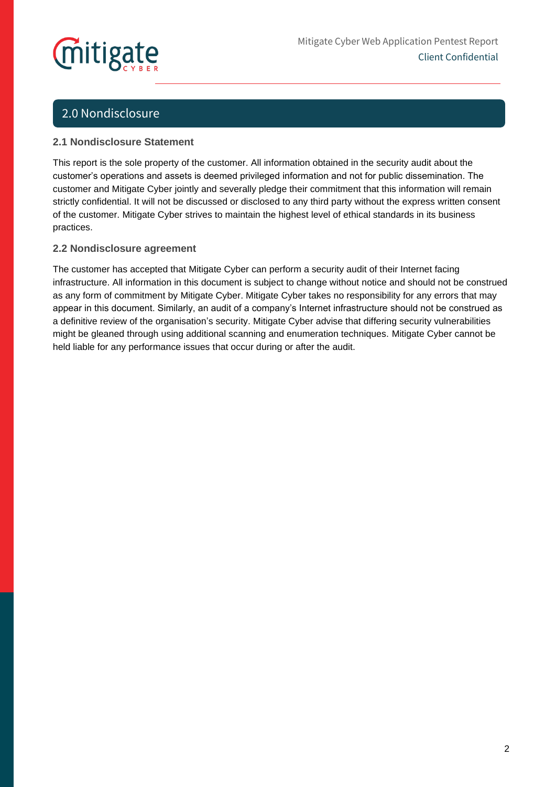# mitigate

# 2.0 Nondisclosure

### **2.1 Nondisclosure Statement**

This report is the sole property of the customer. All information obtained in the security audit about the customer's operations and assets is deemed privileged information and not for public dissemination. The customer and Mitigate Cyber jointly and severally pledge their commitment that this information will remain strictly confidential. It will not be discussed or disclosed to any third party without the express written consent of the customer. Mitigate Cyber strives to maintain the highest level of ethical standards in its business practices.

### **2.2 Nondisclosure agreement**

The customer has accepted that Mitigate Cyber can perform a security audit of their Internet facing infrastructure. All information in this document is subject to change without notice and should not be construed as any form of commitment by Mitigate Cyber. Mitigate Cyber takes no responsibility for any errors that may appear in this document. Similarly, an audit of a company's Internet infrastructure should not be construed as a definitive review of the organisation's security. Mitigate Cyber advise that differing security vulnerabilities might be gleaned through using additional scanning and enumeration techniques. Mitigate Cyber cannot be held liable for any performance issues that occur during or after the audit.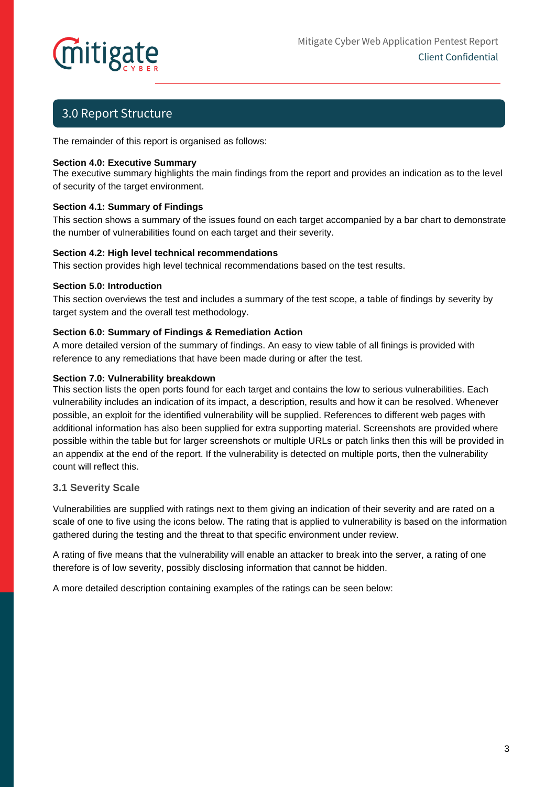

# 3.0 Report Structure

The remainder of this report is organised as follows:

#### **Section 4.0: Executive Summary**

The executive summary highlights the main findings from the report and provides an indication as to the level of security of the target environment.

#### **Section 4.1: Summary of Findings**

This section shows a summary of the issues found on each target accompanied by a bar chart to demonstrate the number of vulnerabilities found on each target and their severity.

#### **Section 4.2: High level technical recommendations**

This section provides high level technical recommendations based on the test results.

#### **Section 5.0: Introduction**

This section overviews the test and includes a summary of the test scope, a table of findings by severity by target system and the overall test methodology.

#### **Section 6.0: Summary of Findings & Remediation Action**

A more detailed version of the summary of findings. An easy to view table of all finings is provided with reference to any remediations that have been made during or after the test.

#### **Section 7.0: Vulnerability breakdown**

This section lists the open ports found for each target and contains the low to serious vulnerabilities. Each vulnerability includes an indication of its impact, a description, results and how it can be resolved. Whenever possible, an exploit for the identified vulnerability will be supplied. References to different web pages with additional information has also been supplied for extra supporting material. Screenshots are provided where possible within the table but for larger screenshots or multiple URLs or patch links then this will be provided in an appendix at the end of the report. If the vulnerability is detected on multiple ports, then the vulnerability count will reflect this.

#### **3.1 Severity Scale**

Vulnerabilities are supplied with ratings next to them giving an indication of their severity and are rated on a scale of one to five using the icons below. The rating that is applied to vulnerability is based on the information gathered during the testing and the threat to that specific environment under review.

A rating of five means that the vulnerability will enable an attacker to break into the server, a rating of one therefore is of low severity, possibly disclosing information that cannot be hidden.

A more detailed description containing examples of the ratings can be seen below: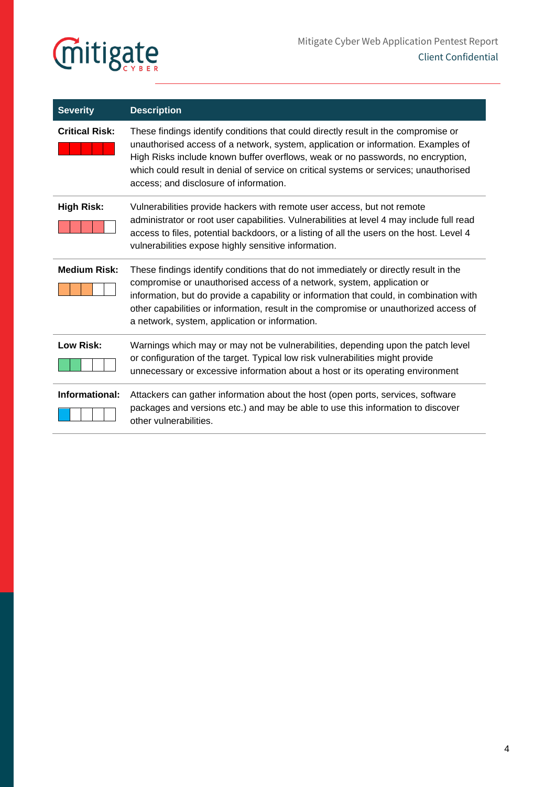

| <b>Severity</b>       | <b>Description</b>                                                                                                                                                                                                                                                                                                                                                                                   |
|-----------------------|------------------------------------------------------------------------------------------------------------------------------------------------------------------------------------------------------------------------------------------------------------------------------------------------------------------------------------------------------------------------------------------------------|
| <b>Critical Risk:</b> | These findings identify conditions that could directly result in the compromise or<br>unauthorised access of a network, system, application or information. Examples of<br>High Risks include known buffer overflows, weak or no passwords, no encryption,<br>which could result in denial of service on critical systems or services; unauthorised<br>access; and disclosure of information.        |
| <b>High Risk:</b>     | Vulnerabilities provide hackers with remote user access, but not remote<br>administrator or root user capabilities. Vulnerabilities at level 4 may include full read<br>access to files, potential backdoors, or a listing of all the users on the host. Level 4<br>vulnerabilities expose highly sensitive information.                                                                             |
| <b>Medium Risk:</b>   | These findings identify conditions that do not immediately or directly result in the<br>compromise or unauthorised access of a network, system, application or<br>information, but do provide a capability or information that could, in combination with<br>other capabilities or information, result in the compromise or unauthorized access of<br>a network, system, application or information. |
| Low Risk:             | Warnings which may or may not be vulnerabilities, depending upon the patch level<br>or configuration of the target. Typical low risk vulnerabilities might provide<br>unnecessary or excessive information about a host or its operating environment                                                                                                                                                 |
| Informational:        | Attackers can gather information about the host (open ports, services, software<br>packages and versions etc.) and may be able to use this information to discover<br>other vulnerabilities.                                                                                                                                                                                                         |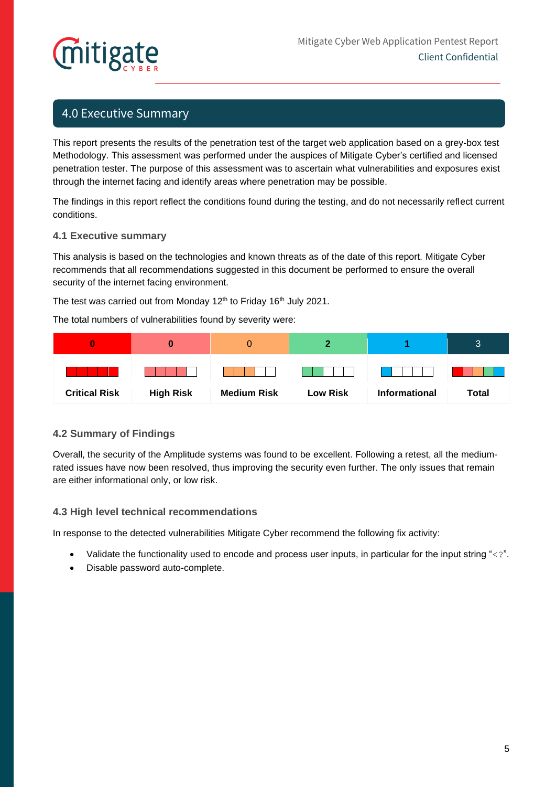# itigate

## 4.0 Executive Summary

This report presents the results of the penetration test of the target web application based on a grey-box test Methodology. This assessment was performed under the auspices of Mitigate Cyber's certified and licensed penetration tester. The purpose of this assessment was to ascertain what vulnerabilities and exposures exist through the internet facing and identify areas where penetration may be possible.

The findings in this report reflect the conditions found during the testing, and do not necessarily reflect current conditions.

#### **4.1 Executive summary**

This analysis is based on the technologies and known threats as of the date of this report. Mitigate Cyber recommends that all recommendations suggested in this document be performed to ensure the overall security of the internet facing environment.

The test was carried out from Monday 12<sup>th</sup> to Friday 16<sup>th</sup> July 2021.

The total numbers of vulnerabilities found by severity were:

|                      |                  |                    |                 |                      | 3            |
|----------------------|------------------|--------------------|-----------------|----------------------|--------------|
|                      |                  |                    |                 |                      |              |
| <b>Critical Risk</b> | <b>High Risk</b> | <b>Medium Risk</b> | <b>Low Risk</b> | <b>Informational</b> | <b>Total</b> |

### **4.2 Summary of Findings**

Overall, the security of the Amplitude systems was found to be excellent. Following a retest, all the mediumrated issues have now been resolved, thus improving the security even further. The only issues that remain are either informational only, or low risk.

#### **4.3 High level technical recommendations**

In response to the detected vulnerabilities Mitigate Cyber recommend the following fix activity:

- Validate the functionality used to encode and process user inputs, in particular for the input string "<?".
- Disable password auto-complete.